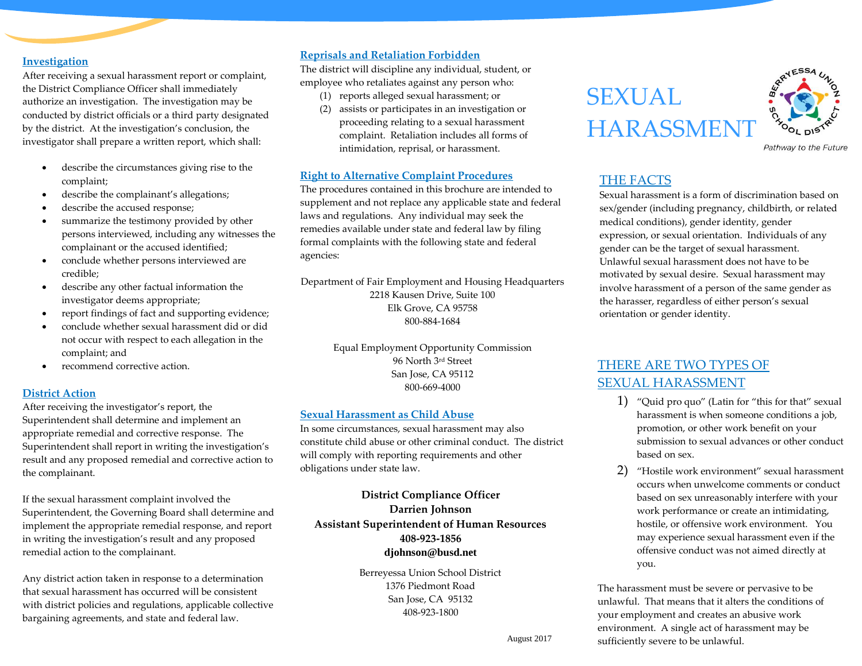### **Investigation**

After receiving a sexual harassment report or complaint, the District Compliance Officer shall immediately authorize an investigation. The investigation may be conducted by district officials or a third party designated by the district. At the investigation's conclusion, the investigator shall prepare a written report, which shall:

- describe the circumstances giving rise to the complaint;
- describe the complainant's allegations;
- describe the accused response;
- summarize the testimony provided by other persons interviewed, including any witnesses the complainant or the accused identified;
- conclude whether persons interviewed are credible;
- describe any other factual information the investigator deems appropriate;
- report findings of fact and supporting evidence;
- conclude whether sexual harassment did or did not occur with respect to each allegation in the complaint; and
- recommend corrective action.

# **District Action**

After receiving the investigator's report, the Superintendent shall determine and implement an appropriate remedial and corrective response. The Superintendent shall report in writing the investigation's result and any proposed remedial and corrective action to the complainant.

If the sexual harassment complaint involved the Superintendent, the Governing Board shall determine and implement the appropriate remedial response, and report in writing the investigation's result and any proposed remedial action to the complainant.

Any district action taken in response to a determination that sexual harassment has occurred will be consistent with district policies and regulations, applicable collective bargaining agreements, and state and federal law.

## **Reprisals and Retaliation Forbidden**

The district will discipline any individual, student, or employee who retaliates against any person who:

- (1) reports alleged sexual harassment; or
- (2) assists or participates in an investigation or proceeding relating to a sexual harassment complaint. Retaliation includes all forms of intimidation, reprisal, or harassment.

## **Right to Alternative Complaint Procedures**

The procedures contained in this brochure are intended to supplement and not replace any applicable state and federal laws and regulations. Any individual may seek the remedies available under state and federal law by filing formal complaints with the following state and federal agencies:

Department of Fair Employment and Housing Headquarters 2218 Kausen Drive, Suite 100 Elk Grove, CA 95758 800-884-1684

> Equal Employment Opportunity Commission 96 North 3rd Street San Jose, CA 95112 800-669-4000

# **Sexual Harassment as Child Abuse**

In some circumstances, sexual harassment may also<br>constitute shild abuse or other griminal conduct. Th **School District** will comply with reporting requirements and other constitute child abuse or other criminal conduct. The district obligations under state law.

**District Compliance Officer Darrien Johnson Assistant Superintendent of Human Resources 408-923-1856 djohnson@busd.net**

> Berreyessa Union School District 1376 Piedmont Road San Jose, CA 95132 408-923-1800

> > **School District**

# SEXUAL HARASSMENT



Pathway to the Future

# THE FACTS

Sexual harassment is a form of discrimination based on sex/gender (including pregnancy, childbirth, or related medical conditions), gender identity, gender expression, or sexual orientation. Individuals of any gender can be the target of sexual harassment. Unlawful sexual harassment does not have to be motivated by sexual desire. Sexual harassment may involve harassment of a person of the same gender as the harasser, regardless of either person's sexual orientation or gender identity.

# THERE ARE TWO TYPES OF SEXUAL HARASSMENT

- 1) "Quid pro quo" (Latin for "this for that" sexual harassment is when someone conditions a job, promotion, or other work benefit on your submission to sexual advances or other conduct based on sex.
- 2) "Hostile work environment" sexual harassment occurs when unwelcome comments or conduct based on sex unreasonably interfere with your work performance or create an intimidating, hostile, or offensive work environment. You may experience sexual harassment even if the offensive conduct was not aimed directly at you.

The harassment must be severe or pervasive to be unlawful. That means that it alters the conditions of your employment and creates an abusive work environment. A single act of harassment may be sufficiently severe to be unlawful.